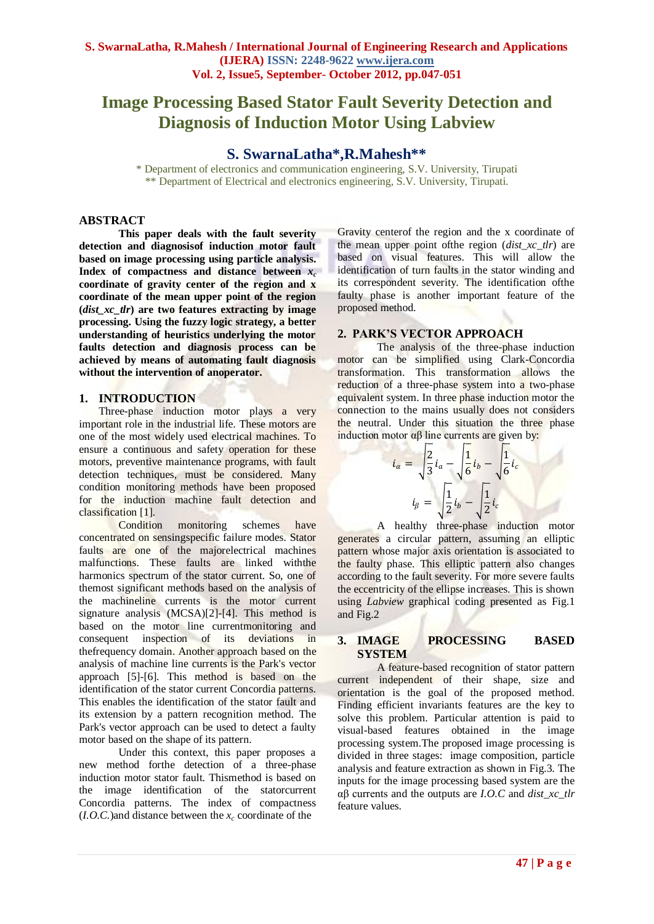# **Image Processing Based Stator Fault Severity Detection and Diagnosis of Induction Motor Using Labview**

# **S. SwarnaLatha\*,R.Mahesh\*\***

\* Department of electronics and communication engineering, S.V. University, Tirupati \*\* Department of Electrical and electronics engineering, S.V. University, Tirupati.

## **ABSTRACT**

**This paper deals with the fault severity detection and diagnosisof induction motor fault based on image processing using particle analysis. Index of compactness and distance between** *x<sup>c</sup>* **coordinate of gravity center of the region and x coordinate of the mean upper point of the region (***dist\_xc\_tlr***) are two features extracting by image processing. Using the fuzzy logic strategy, a better understanding of heuristics underlying the motor faults detection and diagnosis process can be achieved by means of automating fault diagnosis without the intervention of anoperator.**

## **1. INTRODUCTION**

Three-phase induction motor plays a very important role in the industrial life. These motors are one of the most widely used electrical machines. To ensure a continuous and safety operation for these motors, preventive maintenance programs, with fault detection techniques, must be considered. Many condition monitoring methods have been proposed for the induction machine fault detection and classification [1].

Condition monitoring schemes have concentrated on sensingspecific failure modes. Stator faults are one of the majorelectrical machines malfunctions. These faults are linked withthe harmonics spectrum of the stator current. So, one of themost significant methods based on the analysis of the machineline currents is the motor current signature analysis (MCSA)[2]-[4]. This method is based on the motor line currentmonitoring and consequent inspection of its deviations in thefrequency domain. Another approach based on the analysis of machine line currents is the Park's vector approach [5]-[6]. This method is based on the identification of the stator current Concordia patterns. This enables the identification of the stator fault and its extension by a pattern recognition method. The Park's vector approach can be used to detect a faulty motor based on the shape of its pattern.

Under this context, this paper proposes a new method forthe detection of a three-phase induction motor stator fault. Thismethod is based on the image identification of the statorcurrent Concordia patterns. The index of compactness  $(I.O.C.)$  and distance between the  $x_c$  coordinate of the

Gravity centerof the region and the x coordinate of the mean upper point ofthe region (*dist\_xc\_tlr*) are based on visual features. This will allow the identification of turn faults in the stator winding and its correspondent severity. The identification ofthe faulty phase is another important feature of the proposed method.

## **2. PARK'S VECTOR APPROACH**

The analysis of the three-phase induction motor can be simplified using Clark-Concordia transformation. This transformation allows the reduction of a three-phase system into a two-phase equivalent system. In three phase induction motor the connection to the mains usually does not considers the neutral. Under this situation the three phase induction motor  $\alpha\beta$  line currents are given by:

$$
i_{\alpha} = \sqrt{\frac{2}{3}} i_{\alpha} - \sqrt{\frac{1}{6}} i_{b} - \sqrt{\frac{1}{6}} i_{c}
$$

$$
i_{\beta} = \sqrt{\frac{1}{2}} i_{b} - \sqrt{\frac{1}{2}} i_{c}
$$

A healthy three-phase induction motor generates a circular pattern, assuming an elliptic pattern whose major axis orientation is associated to the faulty phase. This elliptic pattern also changes according to the fault severity. For more severe faults the eccentricity of the ellipse increases. This is shown using *Labview* graphical coding presented as Fig.1 and Fig.2

# **3. IMAGE PROCESSING BASED SYSTEM**

A feature-based recognition of stator pattern current independent of their shape, size and orientation is the goal of the proposed method. Finding efficient invariants features are the key to solve this problem. Particular attention is paid to visual-based features obtained in the image processing system.The proposed image processing is divided in three stages: image composition, particle analysis and feature extraction as shown in Fig.3. The inputs for the image processing based system are the αβ currents and the outputs are *I.O.C* and *dist\_xc\_tlr* feature values.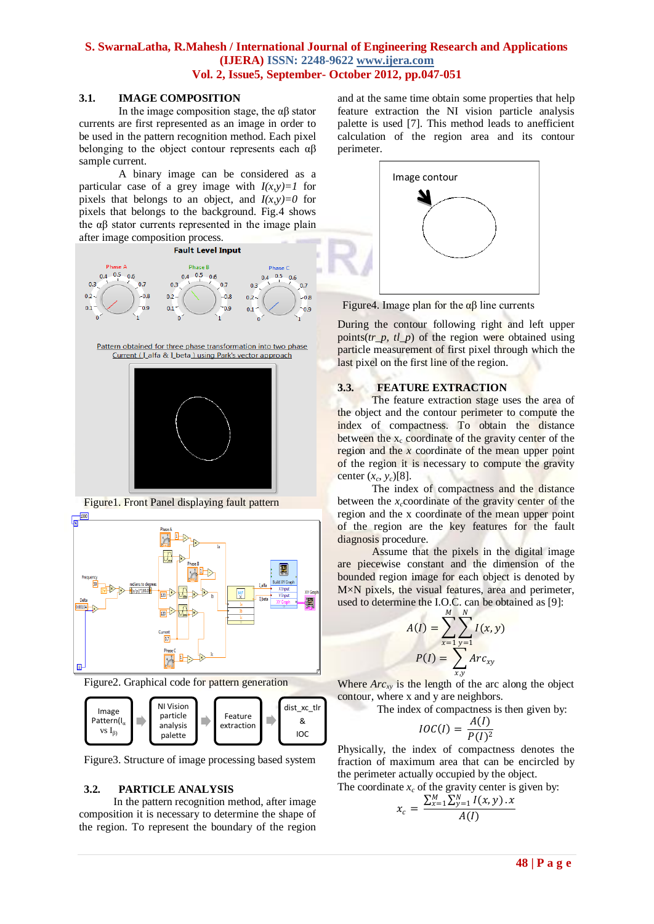#### **3.1. IMAGE COMPOSITION**

In the image composition stage, the αβ stator currents are first represented as an image in order to be used in the pattern recognition method. Each pixel belonging to the object contour represents each  $\alpha\beta$ sample current.

A binary image can be considered as a particular case of a grey image with  $I(x,y)=1$  for pixels that belongs to an object, and  $I(x,y)=0$  for pixels that belongs to the background. Fig.4 shows the αβ stator currents represented in the image plain after image composition process.



Figure1. Front Panel displaying fault pattern



Figure2. Graphical code for pattern generation



Figure3. Structure of image processing based system

#### **3.2. PARTICLE ANALYSIS**

In the pattern recognition method, after image composition it is necessary to determine the shape of the region. To represent the boundary of the region

and at the same time obtain some properties that help feature extraction the NI vision particle analysis palette is used [7]. This method leads to anefficient calculation of the region area and its contour perimeter.



Figure4. Image plan for the  $αβ$  line currents

During the contour following right and left upper points( $tr\_p$ ,  $tl\_p$ ) of the region were obtained using particle measurement of first pixel through which the last pixel on the first line of the region.

#### **3.3. FEATURE EXTRACTION**

The feature extraction stage uses the area of the object and the contour perimeter to compute the index of compactness. To obtain the distance between the  $x_c$  coordinate of the gravity center of the region and the  $x$  coordinate of the mean upper point of the region it is necessary to compute the gravity center  $(x_c, y_c)[8]$ .

The index of compactness and the distance between the  $x_c$ coordinate of the gravity center of the region and the x coordinate of the mean upper point of the region are the key features for the fault diagnosis procedure.

Assume that the pixels in the digital image are piecewise constant and the dimension of the bounded region image for each object is denoted by M×N pixels, the visual features, area and perimeter, used to determine the I.O.C. can be obtained as [9]:

$$
A(I) = \sum_{x=1}^{M} \sum_{y=1}^{N} I(x, y)
$$

$$
P(I) = \sum_{x,y}^{M} Arc_{xy}
$$

Where *Arcxy* is the length of the arc along the object contour, where x and y are neighbors.

The index of compactness is then given by:

$$
IOC(I) = \frac{A(I)}{P(I)^2}
$$

Physically, the index of compactness denotes the fraction of maximum area that can be encircled by the perimeter actually occupied by the object. The coordinate  $x_c$  of the gravity center is given by:

$$
x_c = \frac{\sum_{x=1}^{M} \sum_{y=1}^{N} I(x, y) \cdot x}{A(I)}
$$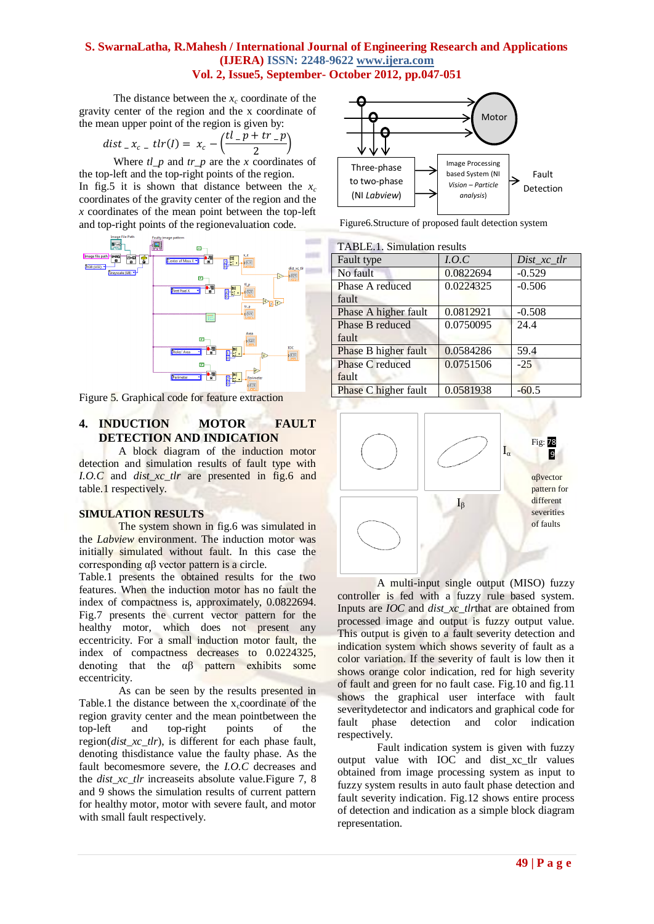The distance between the  $x_c$  coordinate of the gravity center of the region and the x coordinate of the mean upper point of the region is given by:

$$
dist_{-}x_c \tcdot tr(I) = x_c - \left(\frac{t \cdot l \cdot p + t \cdot r \cdot p}{2}\right)
$$

Where *tl\_p* and *tr\_p* are the *x* coordinates of

the top-left and the top-right points of the region. In fig.5 it is shown that distance between the  $x_c$ coordinates of the gravity center of the region and the *x* coordinates of the mean point between the top-left and top-right points of the regionevaluation code.



Figure 5. Graphical code for feature extraction

# **4. INDUCTION MOTOR FAULT DETECTION AND INDICATION**

A block diagram of the induction motor detection and simulation results of fault type with *I.O.C* and *dist\_xc\_tlr* are presented in fig.6 and table.1 respectively.

# **SIMULATION RESULTS**

The system shown in fig.6 was simulated in the *Labview* environment. The induction motor was initially simulated without fault. In this case the corresponding αβ vector pattern is a circle.

Table.1 presents the obtained results for the two features. When the induction motor has no fault the index of compactness is, approximately, 0.0822694. Fig.7 presents the current vector pattern for the healthy motor, which does not present any eccentricity. For a small induction motor fault, the index of compactness decreases to 0.0224325, denoting that the  $\alpha\beta$  pattern exhibits some eccentricity.

As can be seen by the results presented in Table.1 the distance between the  $x_c$ coordinate of the region gravity center and the mean pointbetween the top-left and top-right points of the region(*dist\_xc\_tlr*), is different for each phase fault, denoting thisdistance value the faulty phase. As the fault becomesmore severe, the *I.O.C* decreases and the *dist xc* the increaseits absolute value. Figure 7, 8 and 9 shows the simulation results of current pattern for healthy motor, motor with severe fault, and motor with small fault respectively.



Figure6.Structure of proposed fault detection system

| <b>TABLE.1. Simulation results</b> |           |                 |  |
|------------------------------------|-----------|-----------------|--|
| Fault type                         | LO.C      | $Dist\_xc\_tlr$ |  |
| No fault                           | 0.0822694 | $-0.529$        |  |
| Phase A reduced                    | 0.0224325 | $-0.506$        |  |
| fault                              |           |                 |  |

| fault                  |           |          |
|------------------------|-----------|----------|
| Phase A higher fault   | 0.0812921 | $-0.508$ |
| Phase B reduced        | 0.0750095 | 24.4     |
| fault                  |           |          |
| Phase B higher fault   | 0.0584286 | 59.4     |
| <b>Phase C reduced</b> | 0.0751506 | $-25$    |
| fault                  |           |          |
| Phase C higher fault   | 0.0581938 | $-60.5$  |



A multi-input single output (MISO) fuzzy controller is fed with a fuzzy rule based system. Inputs are *IOC* and *dist\_xc\_tlr*that are obtained from processed image and output is fuzzy output value. This output is given to a fault severity detection and indication system which shows severity of fault as a color variation. If the severity of fault is low then it shows orange color indication, red for high severity of fault and green for no fault case. Fig.10 and fig.11 shows the graphical user interface with fault severity detector and indicators and graphical code for<br>fault phase detection and color indication fault phase detection and color respectively.

Fault indication system is given with fuzzy output value with IOC and dist\_xc\_tlr values obtained from image processing system as input to fuzzy system results in auto fault phase detection and fault severity indication. Fig.12 shows entire process of detection and indication as a simple block diagram representation.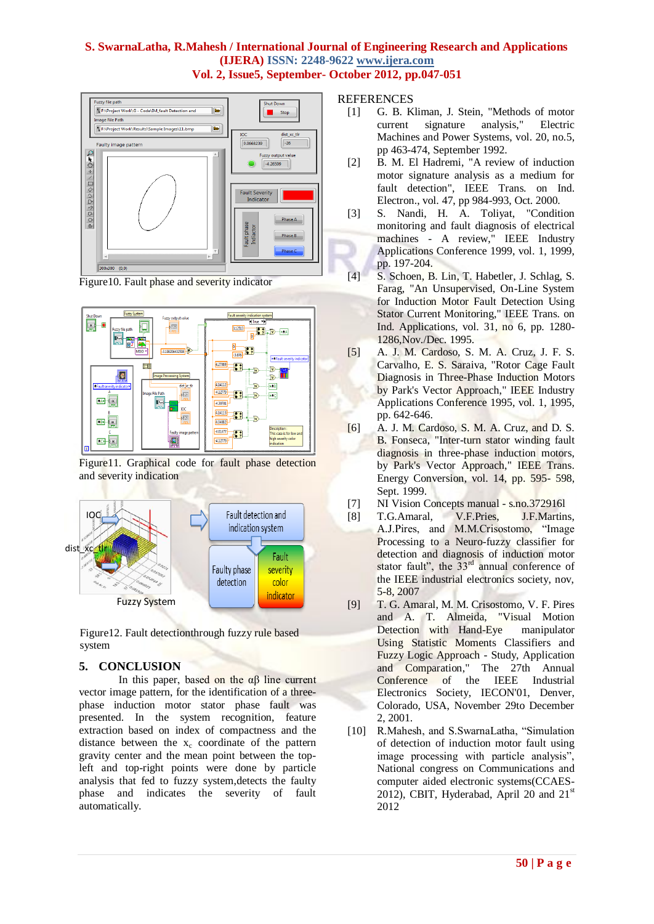

Figure10. Fault phase and severity indicator



Figure11. Graphical code for fault phase detection and severity indication



Figure12. Fault detectionthrough fuzzy rule based system

# **5. CONCLUSION**

In this paper, based on the  $\alpha\beta$  line current vector image pattern, for the identification of a threephase induction motor stator phase fault was presented. In the system recognition, feature extraction based on index of compactness and the distance between the  $x_c$  coordinate of the pattern gravity center and the mean point between the topleft and top-right points were done by particle analysis that fed to fuzzy system,detects the faulty phase and indicates the severity of fault automatically.

## **REFERENCES**

- [1] G. B. Kliman, J. Stein, "Methods of motor current signature analysis," Electric Machines and Power Systems, vol. 20, no.5, pp 463-474, September 1992.
- [2] B. M. El Hadremi, "A review of induction motor signature analysis as a medium for fault detection", IEEE Trans. on Ind. Electron., vol. 47, pp 984-993, Oct. 2000.
- [3] S. Nandi, H. A. Toliyat, "Condition monitoring and fault diagnosis of electrical machines - A review," IEEE Industry Applications Conference 1999, vol. 1, 1999, pp. 197-204.
- [4] S. Schoen, B. Lin, T. Habetler, J. Schlag, S. Farag, "An Unsupervised, On-Line System for Induction Motor Fault Detection Using Stator Current Monitoring," IEEE Trans. on Ind. Applications, vol. 31, no 6, pp. 1280- 1286,Nov./Dec. 1995.
- [5] A. J. M. Cardoso, S. M. A. Cruz, J. F. S. Carvalho, E. S. Saraiva, "Rotor Cage Fault Diagnosis in Three-Phase Induction Motors by Park's Vector Approach," IEEE Industry Applications Conference 1995, vol. 1, 1995, pp. 642-646.
- [6] A. J. M. Cardoso, S. M. A. Cruz, and D. S. B. Fonseca, "Inter-turn stator winding fault diagnosis in three-phase induction motors, by Park's Vector Approach," IEEE Trans. Energy Conversion, vol. 14, pp. 595- 598, Sept. 1999.
- [7] NI Vision Concepts manual s.no.372916l
- [8] T.G.Amaral, V.F.Pries, J.F.Martins, A.J.Pires, and M.M.Crisostomo, "Image Processing to a Neuro-fuzzy classifier for detection and diagnosis of induction motor stator fault", the  $33<sup>rd</sup>$  annual conference of the IEEE industrial electronics society, nov, 5-8, 2007
- [9] T. G. Amaral, M. M. Crisostomo, V. F. Pires and A. T. Almeida, Detection with Hand-Eye manipulator Using Statistic Moments Classifiers and Fuzzy Logic Approach - Study, Application and Comparation," The 27th Annual Conference of the IEEE Industrial Electronics Society, IECON'01, Denver, Colorado, USA, November 29to December 2, 2001.
- [10] R.Mahesh, and S.SwarnaLatha, "Simulation of detection of induction motor fault using image processing with particle analysis", National congress on Communications and computer aided electronic systems(CCAES-2012), CBIT, Hyderabad, April 20 and  $21<sup>st</sup>$ 2012